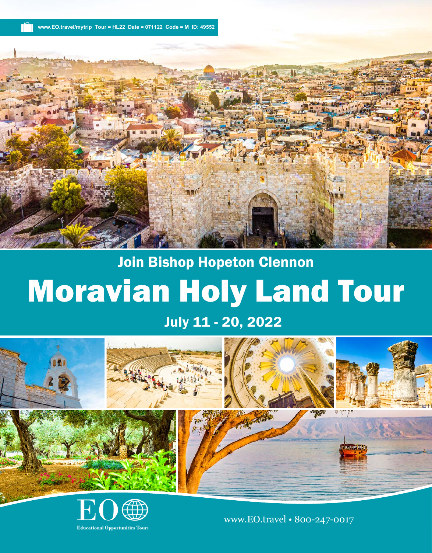**www.EO.travel/mytrip Tour = HL22 Date = 071122 Code = M ID: 49552**



## Moravian Holy Land Tour Join Bishop Hopeton Clennon

## July 11 - 20, 2022



**Educational Opportunities Tours** 

www.EO.travel • 800-247-0017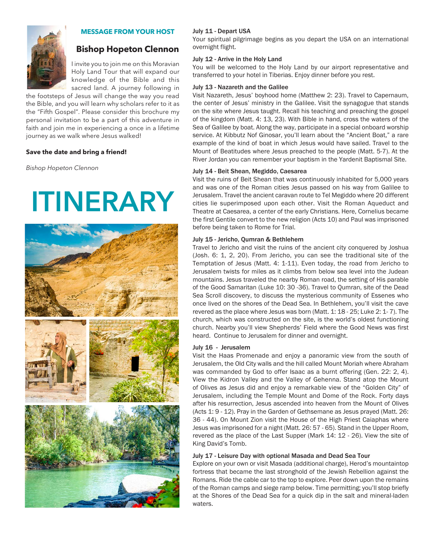

## **MESSAGE FROM YOUR HOST**

## **Bishop Hopeton Clennon**

I invite you to join me on this Moravian Holy Land Tour that will expand our knowledge of the Bible and this sacred land. A journey following in

the footsteps of Jesus will change the way you read the Bible, and you will learn why scholars refer to it as the "Fifth Gospel". Please consider this brochure my personal invitation to be a part of this adventure in faith and join me in experiencing a once in a lifetime journey as we walk where Jesus walked!

#### **Save the date and bring a friend!**

*Bishop Hopeton Clennon*

# **ITINERARY**



#### July 11 - Depart USA

Your spiritual pilgrimage begins as you depart the USA on an international overnight flight.

#### July 12 - Arrive in the Holy Land

You will be welcomed to the Holy Land by our airport representative and transferred to your hotel in Tiberias. Enjoy dinner before you rest.

#### July 13 - Nazareth and the Galilee

Visit Nazareth, Jesus' boyhood home (Matthew 2: 23). Travel to Capernaum, the center of Jesus' ministry in the Galilee. Visit the synagogue that stands on the site where Jesus taught. Recall his teaching and preaching the gospel of the kingdom (Matt. 4: 13, 23). With Bible in hand, cross the waters of the Sea of Galilee by boat. Along the way, participate in a special onboard worship service. At Kibbutz Nof Ginosar, you'll learn about the "Ancient Boat," a rare example of the kind of boat in which Jesus would have sailed. Travel to the Mount of Beatitudes where Jesus preached to the people (Matt. 5-7). At the River Jordan you can remember your baptism in the Yardenit Baptismal Site.

#### July 14 - Beit Shean, Megiddo, Caesarea

Visit the ruins of Beit Shean that was continuously inhabited for 5,000 years and was one of the Roman cities Jesus passed on his way from Galilee to Jerusalem. Travel the ancient caravan route to Tel Megiddo where 20 different cities lie superimposed upon each other. Visit the Roman Aqueduct and Theatre at Caesarea, a center of the early Christians. Here, Cornelius became the first Gentile convert to the new religion (Acts 10) and Paul was imprisoned before being taken to Rome for Trial.

#### July 15 - Jericho, Qumran & Bethlehem

Travel to Jericho and visit the ruins of the ancient city conquered by Joshua (Josh. 6: 1, 2, 20). From Jericho, you can see the traditional site of the Temptation of Jesus (Matt. 4: 1-11). Even today, the road from Jericho to Jerusalem twists for miles as it climbs from below sea level into the Judean mountains. Jesus traveled the nearby Roman road, the setting of His parable of the Good Samaritan (Luke 10: 30 -36). Travel to Qumran, site of the Dead Sea Scroll discovery, to discuss the mysterious community of Essenes who once lived on the shores of the Dead Sea. In Bethlehem, you'll visit the cave revered as the place where Jesus was born (Matt. 1: 18 - 25; Luke 2: 1- 7). The church, which was constructed on the site, is the world's oldest functioning church. Nearby you'll view Shepherds' Field where the Good News was first heard. Continue to Jerusalem for dinner and overnight.

#### July 16 - Jerusalem

Visit the Haas Promenade and enjoy a panoramic view from the south of Jerusalem, the Old City walls and the hill called Mount Moriah where Abraham was commanded by God to offer Isaac as a burnt offering (Gen. 22: 2, 4). View the Kidron Valley and the Valley of Gehenna. Stand atop the Mount of Olives as Jesus did and enjoy a remarkable view of the "Golden City" of Jerusalem, including the Temple Mount and Dome of the Rock. Forty days after his resurrection, Jesus ascended into heaven from the Mount of Olives (Acts 1: 9 - 12). Pray in the Garden of Gethsemane as Jesus prayed (Matt. 26: 36 - 44). On Mount Zion visit the House of the High Priest Caiaphas where Jesus was imprisoned for a night (Matt. 26: 57 - 65). Stand in the Upper Room, revered as the place of the Last Supper (Mark 14: 12 - 26). View the site of King David's Tomb.

#### July 17 - Leisure Day with optional Masada and Dead Sea Tour

Explore on your own or visit Masada (additional charge), Herod's mountaintop fortress that became the last stronghold of the Jewish Rebellion against the Romans. Ride the cable car to the top to explore. Peer down upon the remains of the Roman camps and siege ramp below. Time permitting; you'll stop briefly at the Shores of the Dead Sea for a quick dip in the salt and mineral-laden waters.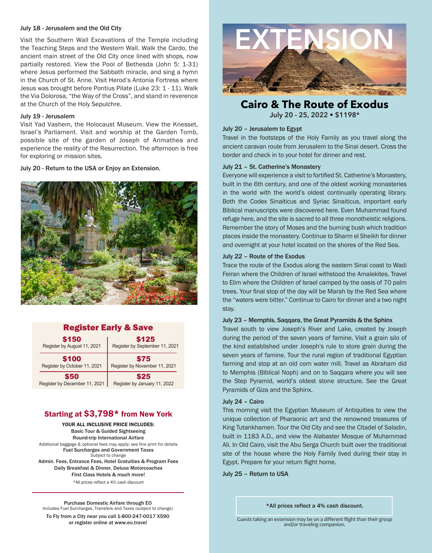#### July 18 - Jerusalem and the Old City

Visit the Southern Wall Excavations of the Temple including the Teaching Steps and the Western Wall. Walk the Cardo, the ancient main street of the Old City once lined with shops, now partially restored. View the Pool of Bethesda (John 5: 1-31) where Jesus performed the Sabbath miracle, and sing a hymn in the Church of St. Anne. Visit Herod's Antonia Fortress where Jesus was brought before Pontius Pilate (Luke 23: 1 - 11). Walk the Via Dolorosa, "the Way of the Cross", and stand in reverence at the Church of the Holy Sepulchre.

#### July 19 - Jerusalem

Visit Yad Vashem, the Holocaust Museum. View the Knesset, Israel's Parliament. Visit and worship at the Garden Tomb, possible site of the garden of Joseph of Arimathea and experience the reality of the Resurrection. The afternoon is free for exploring or mission sites.

July 20 - Return to the USA or Enjoy an Extension.



## Register Early & Save

| \$150                         | \$125                          |
|-------------------------------|--------------------------------|
| Register by August 11, 2021   | Register by September 11, 2021 |
| \$100                         | \$75                           |
| Register by October 11, 2021  | Register by November 11, 2021  |
| \$50                          | <b>S25</b>                     |
| Register by December 11, 2021 | Register by January 11, 2022   |

## Starting at \$3,798\* from New York

YOUR ALL INCLUSIVE PRICE INCLUDES: Basic Tour & Guided Sightseeing Round-trip International Airfare Additional baggage & optional fees may apply; see fine print for details Fuel Surcharges and Government Taxes Subject to change Admin. Fees, Entrance Fees, Hotel Gratuities & Program Fees Daily Breakfast & Dinner, Deluxe Motorcoaches First Class Hotels & much more! \*All prices reflect a 4% cash discount

Purchase Domestic Airfare through EO Includes Fuel Surcharges, Transfers and Taxes (subject to change)

To Fly from a City near you call 1-800-247-0017 X590 or register online at www.eo.travel



**Cairo & The Route of Exodus July 20 - 25, 2022 • \$1198\***

## July 20 – Jerusalem to Egypt

Travel in the footsteps of the Holy Family as you travel along the ancient caravan route from Jerusalem to the Sinai desert. Cross the border and check in to your hotel for dinner and rest.

## July 21 – St. Catherine's Monastery

Everyone will experience a visit to fortified St. Catherine's Monastery, built in the 6th century, and one of the oldest working monasteries in the world with the world's oldest continually operating library. Both the Codex Sinaiticus and Syriac Sinaiticus, important early Biblical manuscripts were discovered here. Even Muhammad found refuge here, and the site is sacred to all three monotheistic religions. Remember the story of Moses and the burning bush which tradition places inside the monastery. Continue to Sharm el Sheikh for dinner and overnight at your hotel located on the shores of the Red Sea.

## July 22 – Route of the Exodus

Trace the route of the Exodus along the eastern Sinai coast to Wadi Feiran where the Children of Israel withstood the Amalekites. Travel to Elim where the Children of Israel camped by the oasis of 70 palm trees. Your final stop of the day will be Marah by the Red Sea where the "waters were bitter." Continue to Cairo for dinner and a two night stay.

#### July 23 – Memphis, Saqqara, the Great Pyramids & the Sphinx

Travel south to view Joseph's River and Lake, created by Joseph during the period of the seven years of famine. Visit a grain silo of the kind established under Joseph's rule to store grain during the seven years of famine. Tour the rural region of traditional Egyptian farming and stop at an old corn water mill. Travel as Abraham did to Memphis (Biblical Noph) and on to Saqqara where you will see the Step Pyramid, world's oldest stone structure. See the Great Pyramids of Giza and the Sphinx.

## July 24 – Cairo

This morning visit the Egyptian Museum of Antiquities to view the unique collection of Pharaonic art and the renowned treasures of King Tutankhamen. Tour the Old City and see the Citadel of Saladin, built in 1183 A.D., and view the Alabaster Mosque of Muhammad Ali. In Old Cairo, visit the Abu Serga Church built over the traditional site of the house where the Holy Family lived during their stay in Egypt. Prepare for your return flight home.

July 25 – Return to USA

\*All prices reflect a 4% cash discount.

Guests taking an extension may be on a different flight than their group and/or traveling companion.